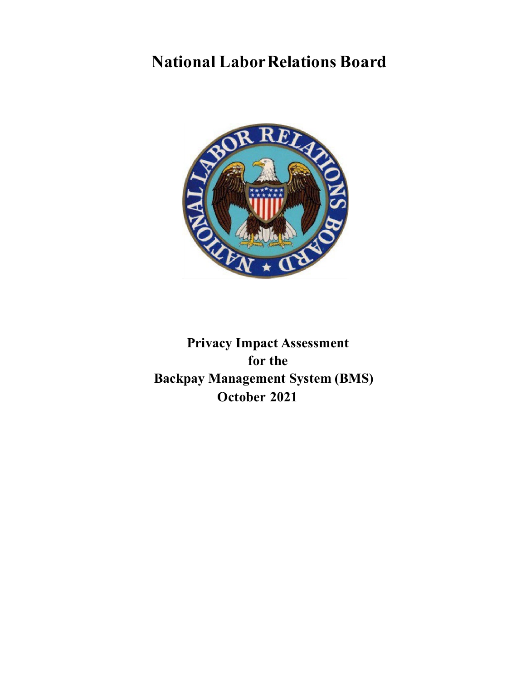# **National LaborRelations Board**



**Privacy Impact Assessment for the Backpay Management System (BMS) October 2021**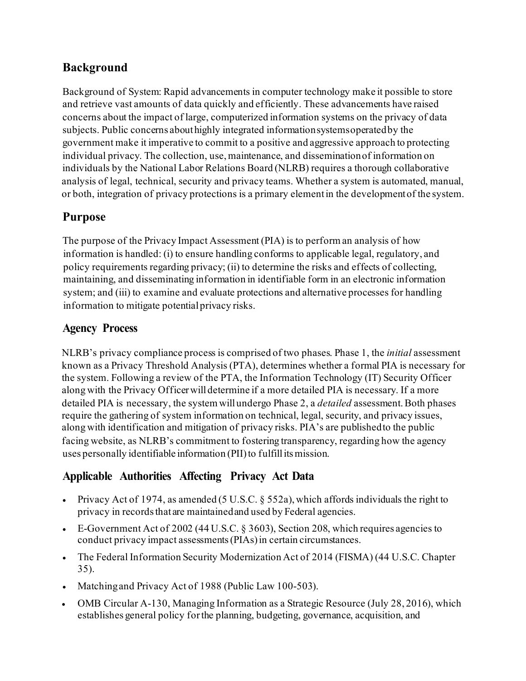# **Background**

Background of System: Rapid advancements in computer technology make it possible to store and retrieve vast amounts of data quickly and efficiently. These advancements have raised concerns about the impact of large, computerized information systems on the privacy of data subjects. Public concerns abouthighly integrated informationsystemsoperatedby the government make it imperative to commit to a positive and aggressive approach to protecting individual privacy. The collection, use,maintenance, and disseminationof information on individuals by the National Labor Relations Board (NLRB) requires a thorough collaborative analysis of legal, technical, security and privacy teams. Whether a system is automated, manual, or both, integration of privacy protections is a primary elementin the developmentof the system.

# **Purpose**

The purpose of the Privacy Impact Assessment (PIA) is to perform an analysis of how information is handled: (i) to ensure handling conforms to applicable legal, regulatory, and policy requirements regarding privacy; (ii) to determine the risks and effects of collecting, maintaining, and disseminating information in identifiable form in an electronic information system; and (iii) to examine and evaluate protections and alternative processes for handling information to mitigate potential privacy risks.

# **Agency Process**

NLRB's privacy compliance process is comprised of two phases. Phase 1, the *initial* assessment known as a Privacy Threshold Analysis (PTA), determines whether a formal PIA is necessary for the system. Following a review of the PTA, the Information Technology (IT) Security Officer along with the Privacy Officerwilldetermine if a more detailed PIA is necessary. If a more detailed PIA is necessary, the systemwillundergo Phase 2, a *detailed* assessment. Both phases require the gathering of system information on technical, legal, security, and privacy issues, along with identification and mitigation of privacy risks. PIA's are publishedto the public facing website, as NLRB's commitment to fostering transparency, regarding how the agency uses personally identifiable information (PII) to fulfill its mission.

# **Applicable Authorities Affecting Privacy Act Data**

- Privacy Act of 1974, as amended (5 U.S.C. § 552a), which affords individuals the right to privacy in records that are maintained and used by Federal agencies.
- E-Government Act of 2002 (44 U.S.C. § 3603), Section 208, which requires agencies to conduct privacy impact assessments(PIAs)in certain circumstances.
- The Federal Information Security Modernization Act of 2014 (FISMA) (44 U.S.C. Chapter 35).
- Matching and Privacy Act of 1988 (Public Law 100-503).
- OMB Circular A-130, Managing Information as a Strategic Resource (July 28, 2016), which establishes general policy forthe planning, budgeting, governance, acquisition, and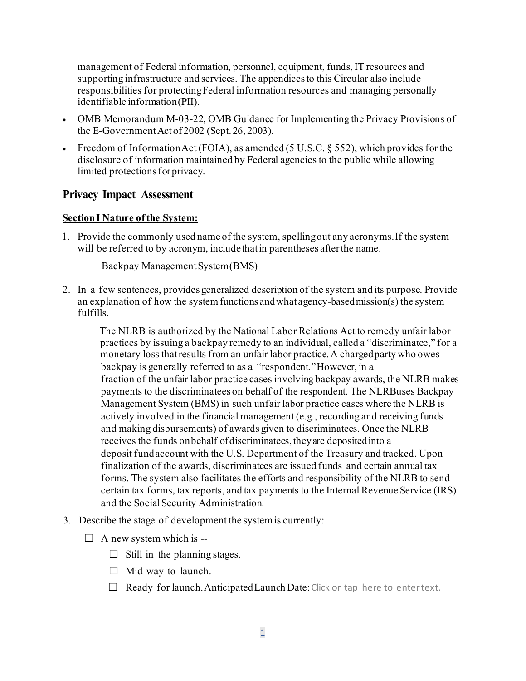management of Federal information, personnel, equipment, funds, IT resources and supporting infrastructure and services. The appendices to this Circular also include responsibilities for protectingFederal information resources and managing personally identifiable information(PII).

- OMB Memorandum M-03-22, OMB Guidance for Implementing the Privacy Provisions of the E-Government Act of 2002 (Sept. 26, 2003).
- Freedom of Information Act (FOIA), as amended (5 U.S.C.  $\S$  552), which provides for the disclosure of information maintained by Federal agencies to the public while allowing limited protections for privacy.

# **Privacy Impact Assessment**

### **SectionI Nature ofthe System:**

1. Provide the commonly used name of the system, spellingout any acronyms.If the system will be referred to by acronym, include that in parentheses after the name.

Backpay Management System (BMS)

2. In a few sentences, provides generalized description of the system and its purpose. Provide an explanation of how the system functions and what agency-based mission(s) the system fulfills.

The NLRB is authorized by the National Labor Relations Act to remedy unfair labor practices by issuing a backpay remedy to an individual, called a "discriminatee," for a monetary loss thatresults from an unfair labor practice. A chargedparty who owes backpay is generally referred to as a "respondent."However, in a fraction of the unfair labor practice cases involving backpay awards, the NLRB makes payments to the discriminatees on behalf of the respondent. The NLRBuses Backpay Management System (BMS) in such unfair labor practice cases where the NLRB is actively involved in the financial management (e.g., recording and receiving funds and making disbursements) of awards given to discriminatees. Once the NLRB receives the funds onbehalf of discriminatees, theyare depositedinto a deposit fundaccount with the U.S. Department of the Treasury and tracked. Upon finalization of the awards, discriminatees are issued funds and certain annual tax forms. The system also facilitates the efforts and responsibility of the NLRB to send certain tax forms, tax reports, and tax payments to the Internal Revenue Service (IRS) and the SocialSecurity Administration.

- 3. Describe the stage of development the systemis currently:
	- $\Box$  A new system which is --
		- $\Box$  Still in the planning stages.
		- $\Box$  Mid-way to launch.
		- $\Box$  Ready for launch. Anticipated Launch Date: Click or tap here to entertext.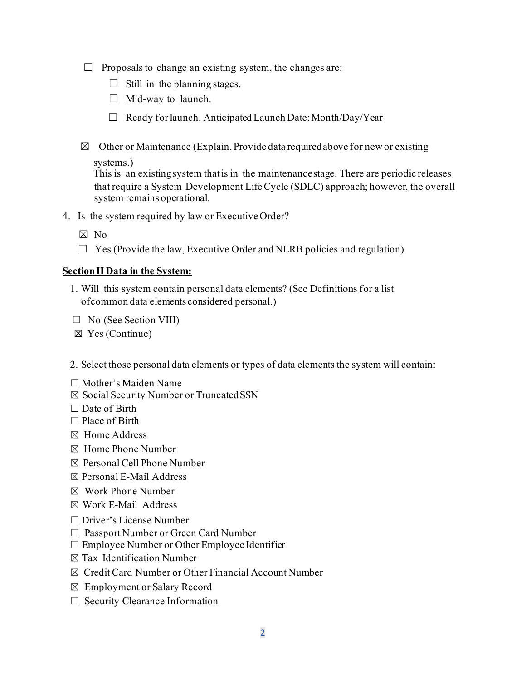- $\Box$  Proposals to change an existing system, the changes are:
	- $\Box$  Still in the planning stages.
	- $\Box$  Mid-way to launch.
	- □ Ready for launch. Anticipated Launch Date: Month/Day/Year
- $\boxtimes$  Other or Maintenance (Explain. Provide data required above for new or existing

systems.)

This is an existingsystem thatis in the maintenancestage. There are periodic releases that require a System Development LifeCycle (SDLC) approach; however, the overall system remains operational.

- 4. Is the system required by law or Executive Order?
	- ☒ No
	- $\Box$  Yes (Provide the law, Executive Order and NLRB policies and regulation)

#### **SectionIIData in the System:**

- 1. Will this system contain personal data elements? (See Definitions for a list ofcommon data elements considered personal.)
- $\Box$  No (See Section VIII)
- ☒ Yes (Continue)

2. Select those personal data elements or types of data elements the system will contain:

- ☐ Mother's Maiden Name
- ☒ Social Security Number or TruncatedSSN
- $\Box$  Date of Birth
- $\Box$  Place of Birth
- ☒ Home Address
- ☒ Home Phone Number
- ☒ Personal Cell Phone Number
- ☒ Personal E-Mail Address
- ☒ Work Phone Number
- ☒ Work E-Mail Address
- ☐ Driver's License Number
- ☐ Passport Number or Green Card Number
- $\Box$  Employee Number or Other Employee Identifier
- $\boxtimes$  Tax Identification Number
- ☒ Credit Card Number or Other Financial Account Number
- ☒ Employment or Salary Record
- $\Box$  Security Clearance Information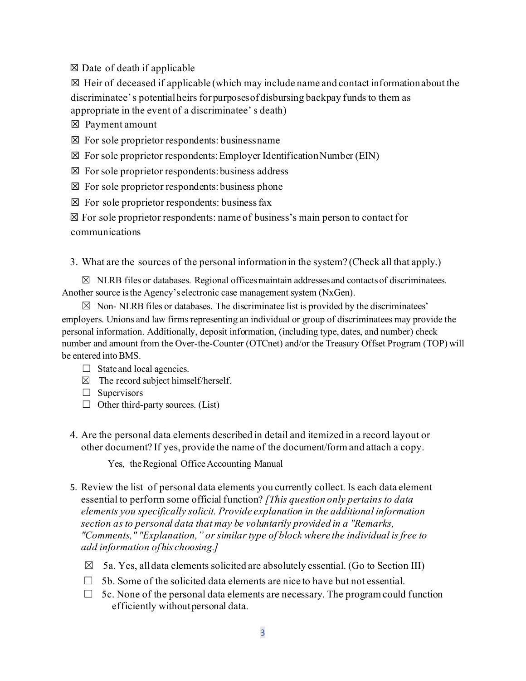$\boxtimes$  Date of death if applicable

 $\boxtimes$  Heir of deceased if applicable (which may include name and contact information about the discriminatee's potentialheirs for purposesof disbursing backpay funds to them as appropriate in the event of a discriminatee' s death)

☒ Payment amount

 $\boxtimes$  For sole proprietor respondents: businessname

 $\boxtimes$  For sole proprietor respondents: Employer Identification Number (EIN)

 $\boxtimes$  For sole proprietor respondents: business address

 $\boxtimes$  For sole proprietor respondents: business phone

 $\boxtimes$  For sole proprietor respondents: business fax

☒ For sole proprietor respondents: name of business's main person to contact for communications

3. What are the sources of the personal informationin the system? (Check all that apply.)

 $\boxtimes$  NLRB files or databases. Regional offices maintain addresses and contacts of discriminatees. Another source isthe Agency's electronic case management system (NxGen).

 $\boxtimes$  Non-NLRB files or databases. The discriminatee list is provided by the discriminatees' employers. Unions and law firms representing an individual or group of discriminatees may provide the personal information. Additionally, deposit information, (including type, dates, and number) check number and amount from the Over-the-Counter (OTCnet) and/or the Treasury Offset Program (TOP) will be entered into BMS.

- $\Box$  State and local agencies.
- $\boxtimes$  The record subject himself/herself.
- $\square$  Supervisors
- $\Box$  Other third-party sources. (List)
- 4. Are the personal data elements described in detail and itemized in a record layout or other document? If yes, provide the name of the document/form and attach a copy.

Yes, the Regional Office Accounting Manual

- 5. Review the list of personal data elements you currently collect. Is each data element essential to perform some official function? *[This question only pertains to data elements you specifically solicit. Provide explanation in the additional information section as to personal data that may be voluntarily provided in a "Remarks, "Comments," "Explanation," or similar type of block where the individual is free to add information ofhis choosing.]*
	- $\boxtimes$  5a. Yes, all data elements solicited are absolutely essential. (Go to Section III)
	- $\Box$  5b. Some of the solicited data elements are nice to have but not essential.
	- $\Box$  5c. None of the personal data elements are necessary. The program could function efficiently withoutpersonal data.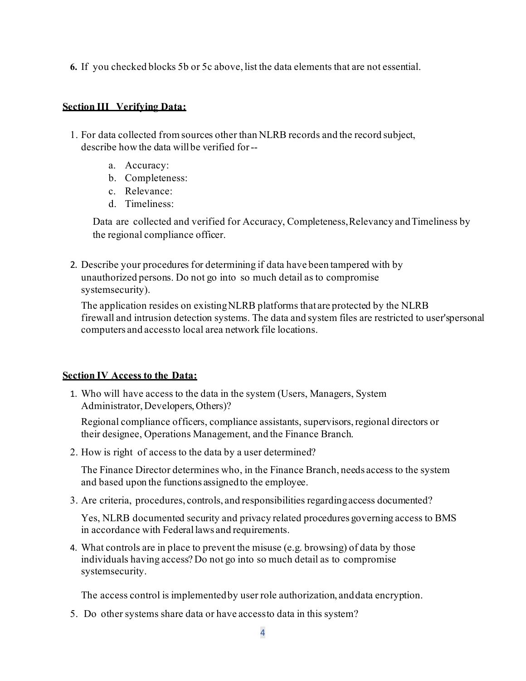**6.** If you checked blocks 5b or 5c above, list the data elements that are not essential.

#### **Section III Verifying Data:**

- 1. For data collected from sources other than NLRB records and the record subject, describe how the data willbe verified for-
	- a. Accuracy:
	- b. Completeness:
	- c. Relevance:
	- d. Timeliness:

Data are collected and verified for Accuracy, Completeness,Relevancy andTimeliness by the regional compliance officer.

2. Describe your procedures for determining if data have been tampered with by unauthorized persons. Do not go into so much detail as to compromise systemsecurity).

The application resides on existingNLRB platforms that are protected by the NLRB firewall and intrusion detection systems. The data and system files are restricted to user'spersonal computers and accessto local area network file locations.

### **Section IV Access to the Data:**

1. Who will have access to the data in the system (Users, Managers, System Administrator, Developers, Others)?

Regional compliance officers, compliance assistants, supervisors,regional directors or their designee, Operations Management, and the Finance Branch.

2. How is right of access to the data by a user determined?

The Finance Director determines who, in the Finance Branch, needs access to the system and based upon the functions assignedto the employee.

3. Are criteria, procedures, controls, and responsibilities regardingaccess documented?

Yes, NLRB documented security and privacy related procedures governing access to BMS in accordance with Federallaws and requirements.

4. What controls are in place to prevent the misuse (e.g. browsing) of data by those individuals having access? Do not go into so much detail as to compromise systemsecurity.

The access control is implementedby user role authorization, anddata encryption.

5. Do other systems share data or have accessto data in this system?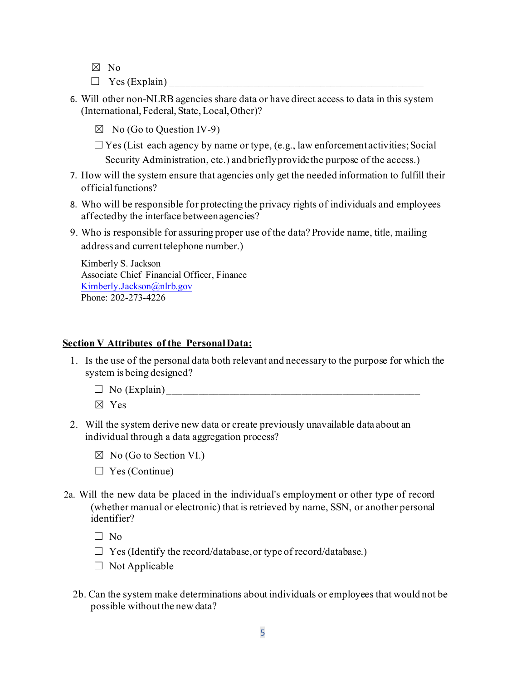- ☒ No
- $\Box$  Yes (Explain)
- 6. Will other non-NLRB agencies share data or have direct access to data in this system (International, Federal, State,Local,Other)?
	- $\boxtimes$  No (Go to Question IV-9)
	- $\Box$  Yes (List each agency by name or type, (e.g., law enforcement activities; Social Security Administration, etc.) andbrieflyprovidethe purpose of the access.)
- 7. How will the system ensure that agencies only get the needed information to fulfill their official functions?
- 8. Who will be responsible for protecting the privacy rights of individuals and employees affectedby the interface betweenagencies?
- 9. Who is responsible for assuring proper use of the data? Provide name, title, mailing address and current telephone number.)

Kimberly S. Jackson Associate Chief Financial Officer, Finance [Kimberly.Jackson@nlrb.gov](mailto:Isabel.McConnell@nlrb.gov) Phone: 202-273-4226

#### **Section V Attributes of the PersonalData:**

- 1. Is the use of the personal data both relevant and necessary to the purpose for which the system is being designed?
	- $\Box$  No (Explain)
		- ☒ Yes
- 2. Will the system derive new data or create previously unavailable data about an individual through a data aggregation process?
	- $\boxtimes$  No (Go to Section VI.)
	- $\Box$  Yes (Continue)
- 2a. Will the new data be placed in the individual's employment or other type of record (whether manual or electronic) that is retrieved by name, SSN, or another personal identifier?

 $\Box$  No

- $\Box$  Yes (Identify the record/database, or type of record/database.)
- $\Box$  Not Applicable
- 2b. Can the system make determinations about individuals or employees that would not be possible without the new data?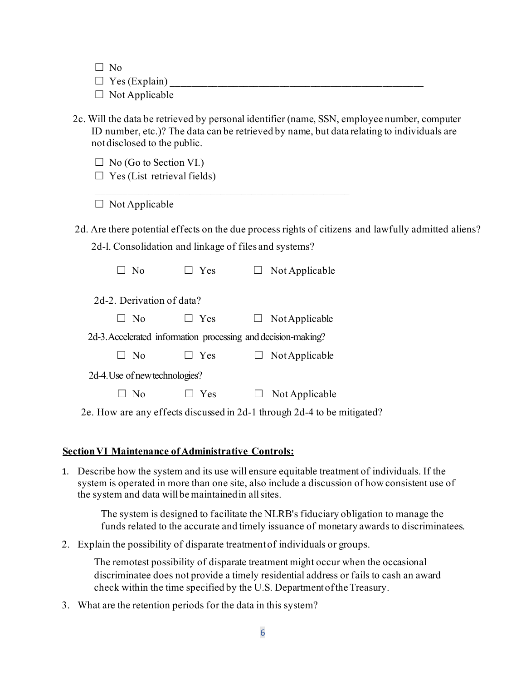☐ No  $\Box$  Yes (Explain)  $\Box$  Not Applicable

2c. Will the data be retrieved by personal identifier (name, SSN, employee number, computer ID number, etc.)? The data can be retrieved by name, but data relating to individuals are notdisclosed to the public.

 $\Box$  No (Go to Section VI.)

 $\Box$  Yes (List retrieval fields)

 $\Box$  Not Applicable

2d. Are there potential effects on the due process rights of citizens and lawfully admitted aliens? 2d-l. Consolidation and linkage of files and systems?

| $N_{\Omega}$                                                  | Yes | Not Applicable |  |
|---------------------------------------------------------------|-----|----------------|--|
| 2d-2. Derivation of data?                                     |     |                |  |
| No.                                                           | Yes | Not Applicable |  |
| 2d-3. Accelerated information processing and decision-making? |     |                |  |
| - No                                                          | Yes | Not Applicable |  |
| 2d-4. Use of new technologies?                                |     |                |  |
|                                                               | Yes | Not Applicable |  |

2e. How are any effects discussed in 2d-1 through 2d-4 to be mitigated?

## **SectionVI Maintenance ofAdministrative Controls:**

1. Describe how the system and its use will ensure equitable treatment of individuals. If the system is operated in more than one site, also include a discussion of how consistent use of the system and data will be maintained in all sites.

The system is designed to facilitate the NLRB's fiduciary obligation to manage the funds related to the accurate and timely issuance of monetary awards to discriminatees.

2. Explain the possibility of disparate treatmentof individuals or groups.

The remotest possibility of disparate treatment might occur when the occasional discriminatee does not provide a timely residential address or fails to cash an award check within the time specified by the U.S. Departmentofthe Treasury.

3. What are the retention periods for the data in this system?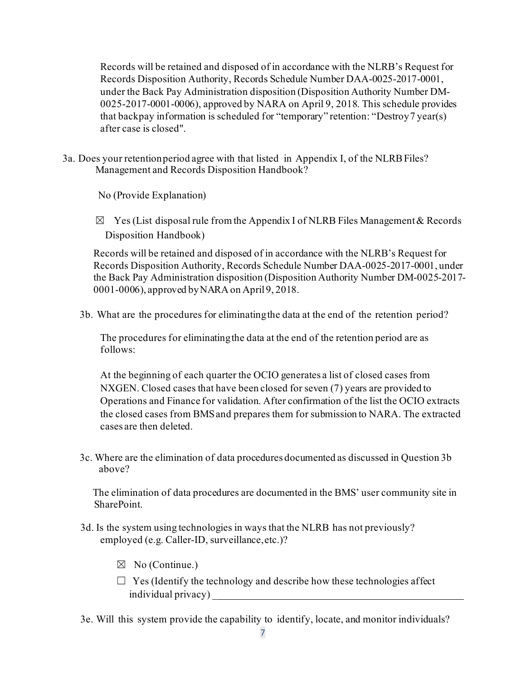Records will be retained and disposed of in accordance with the NLRB's Request for Records Disposition Authority, Records Schedule Number DAA-0025-2017-0001, under the Back Pay Administration disposition (Disposition Authority Number DM-0025-2017-0001-0006), approved by NARA on April 9, 2018. This schedule provides that backpay information is scheduled for "temporary" retention: "Destroy7 year(s) after case is closed".

3a. Does your retentionperiod agree with that listed in Appendix I, of the NLRBFiles? Management and Records Disposition Handbook?

No (Provide Explanation)

 $\boxtimes$  Yes (List disposal rule from the Appendix I of NLRB Files Management & Records Disposition Handbook)

Records will be retained and disposed of in accordance with the NLRB's Request for Records Disposition Authority, Records Schedule Number DAA-0025-2017-0001, under the Back Pay Administration disposition (Disposition Authority Number DM-0025-2017- 0001-0006), approved byNARAon April9, 2018.

3b. What are the procedures for eliminatingthe data at the end of the retention period?

The procedures for eliminatingthe data at the end of the retention period are as follows:

At the beginning of each quarter the OCIO generates a list of closed cases from NXGEN. Closed cases that have been closed for seven (7) years are provided to Operations and Finance for validation. After confirmation of the list the OCIO extracts the closed cases from BMSand prepares them for submission to NARA. The extracted cases are then deleted.

3c. Where are the elimination of data procedures documented as discussed in Question 3b above?

The elimination of data procedures are documented in the BMS' user community site in SharePoint.

- 3d. Is the system using technologies in ways that the NLRB has not previously? employed (e.g. Caller-ID, surveillance,etc.)?
	- $\boxtimes$  No (Continue.)
	- $\Box$  Yes (Identify the technology and describe how these technologies affect individual privacy) \_
- 3e. Will this system provide the capability to identify, locate, and monitor individuals?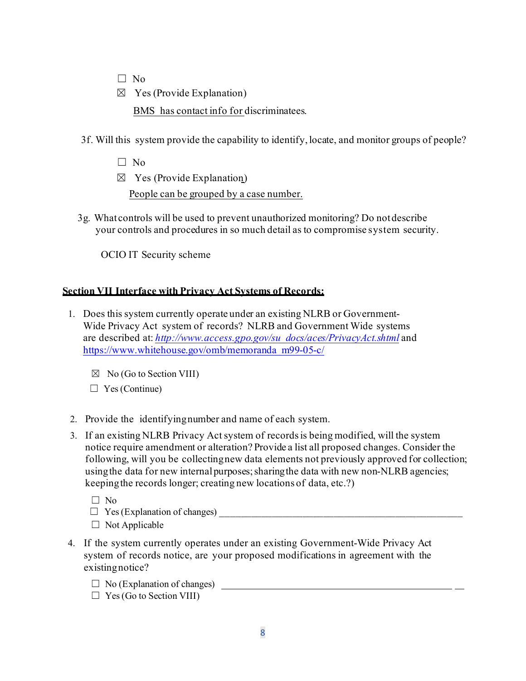- $\Box$  No
- $\boxtimes$  Yes (Provide Explanation)

BMS has contact info for discriminatees.

- 3f. Will this system provide the capability to identify, locate, and monitor groups of people?
	- $\Box$  No
	- $\boxtimes$  Yes (Provide Explanation)

People can be grouped by a case number.

3g. What controls will be used to prevent unauthorized monitoring? Do notdescribe your controls and procedures in so much detail as to compromise system security.

OCIO IT Security scheme

### **Section VII Interface with Privacy Act Systems of Records:**

- 1. Does this system currently operate under an existing NLRB or Government-Wide Privacy Act system of records? NLRB and Government Wide systems are described at: *[http://www.access.gpo.gov/su\\_docs/aces/PrivacyAct.shtml](http://www.access.gpo.gov/su_docs/aces/PrivacyAct.shtml)* and [https://www.whitehouse.gov/omb/memoranda\\_m99-05-c/](https://www.whitehouse.gov/omb/memoranda_m99-05-c/)
	- $\boxtimes$  No (Go to Section VIII)
	- $\Box$  Yes (Continue)
- 2. Provide the identifyingnumber and name of each system.
- 3. If an existing NLRB Privacy Act system of records is being modified, will the system notice require amendment or alteration? Provide a list all proposed changes. Consider the following, will you be collectingnew data elements not previously approved for collection; usingthe data for new internalpurposes;sharingthe data with new non-NLRB agencies; keepingthe records longer; creating new locations of data, etc.?)
	- ☐ No
	- $\Box$  Yes (Explanation of changes)
	- $\Box$  Not Applicable
- 4. If the system currently operates under an existing Government-Wide Privacy Act system of records notice, are your proposed modifications in agreement with the existingnotice?
	- $\Box$  No (Explanation of changes)
	- $\Box$  Yes (Go to Section VIII)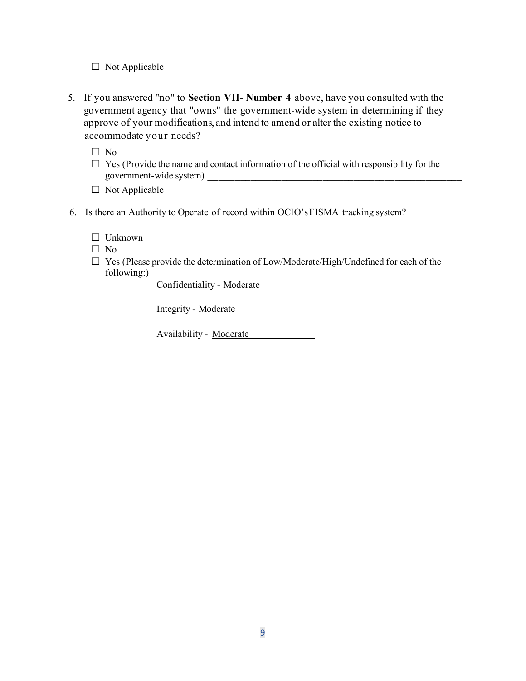- $\Box$  Not Applicable
- 5. If you answered "no" to **Section VII Number 4** above, have you consulted with the government agency that "owns" the government-wide system in determining if they approve of your modifications, and intend to amend or alter the existing notice to accommodate your needs?

☐ No

- $\Box$  Yes (Provide the name and contact information of the official with responsibility for the government-wide system) \_\_\_\_\_\_\_\_\_\_\_\_\_\_\_\_\_\_\_\_\_\_\_\_\_\_\_\_\_\_\_\_\_\_\_\_\_\_\_\_\_\_\_\_\_\_\_\_\_
- $\Box$  Not Applicable
- 6. Is there an Authority to Operate of record within OCIO'sFISMA tracking system?
	- ☐ Unknown
	- ☐ No
	- □ Yes (Please provide the determination of Low/Moderate/High/Undefined for each of the following:)

Confidentiality - Moderate

Integrity - Moderate

Availability - Moderate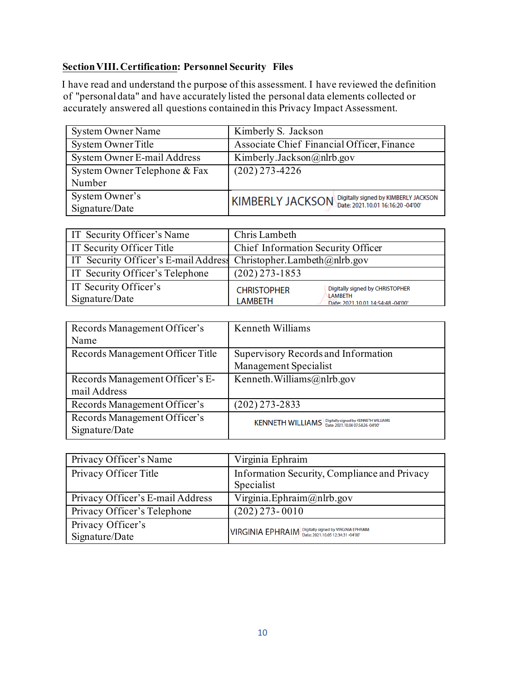### **SectionVIII. Certification: Personnel Security Files**

I have read and understand the purpose of this assessment. I have reviewed the definition of "personaldata" and have accurately listed the personal data elements collected or accurately answered all questions containedin this Privacy Impact Assessment.

| System Owner Name            | Kimberly S. Jackson                                   |
|------------------------------|-------------------------------------------------------|
| <b>System Owner Title</b>    | Associate Chief Financial Officer, Finance            |
| System Owner E-mail Address  | Kimberly.Jackson@nlrb.gov                             |
| System Owner Telephone & Fax | $(202)$ 273-4226                                      |
| Number                       |                                                       |
| System Owner's               | KIMBERLY JACKSON Digitally signed by KIMBERLY JACKSON |
| Signature/Date               |                                                       |

| <b>IT Security Officer's Name</b>                                      | Chris Lambeth                                                                                                           |
|------------------------------------------------------------------------|-------------------------------------------------------------------------------------------------------------------------|
| IT Security Officer Title                                              | Chief Information Security Officer                                                                                      |
| IT Security Officer's E-mail Address Christopher. Lambeth $@n$ ltb.gov |                                                                                                                         |
| <b>IT Security Officer's Telephone</b>                                 | $(202)$ 273-1853                                                                                                        |
| IT Security Officer's<br>Signature/Date                                | Digitally signed by CHRISTOPHER<br><b>CHRISTOPHER</b><br>LAMBETH<br><b>LAMBETH</b><br>Date: 2021.10.01 14:54:48 -04'00' |

| Records Management Officer's     | Kenneth Williams                                                                                     |  |
|----------------------------------|------------------------------------------------------------------------------------------------------|--|
| Name                             |                                                                                                      |  |
| Records Management Officer Title | Supervisory Records and Information                                                                  |  |
|                                  | Management Specialist                                                                                |  |
| Records Management Officer's E-  | Kenneth. Williams $(a)$ n lrb.gov                                                                    |  |
| mail Address                     |                                                                                                      |  |
| Records Management Officer's     | $(202)$ 273-2833                                                                                     |  |
| Records Management Officer's     | Digitally signed by KENNETH WILLIAMS<br>Date: 2021.10.04 07:54:26 -04'00'<br><b>KENNETH WILLIAMS</b> |  |
| Signature/Date                   |                                                                                                      |  |

| Privacy Officer's Name              | Virginia Ephraim                                           |
|-------------------------------------|------------------------------------------------------------|
| Privacy Officer Title               | Information Security, Compliance and Privacy<br>Specialist |
| Privacy Officer's E-mail Address    | Virginia. Ephraim@nlrb.gov                                 |
| Privacy Officer's Telephone         | $(202)$ 273-0010                                           |
| Privacy Officer's<br>Signature/Date | VIRGINIA EPHRAIM Digitally signed by VIRGINIA EPHRAIM      |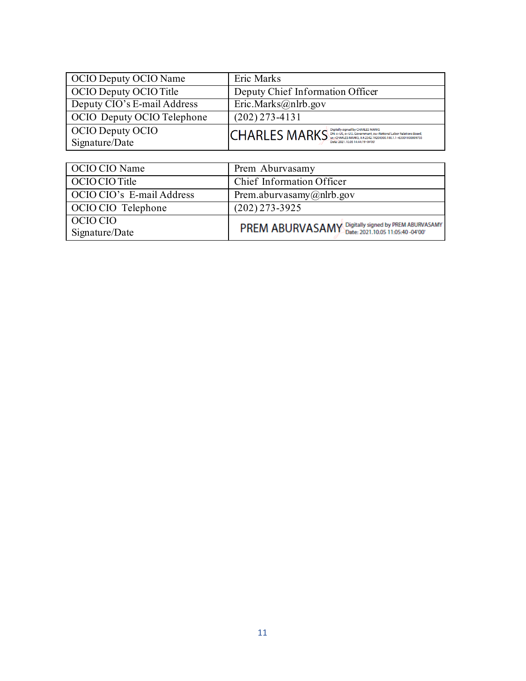| OCIO Deputy OCIO Name              | Eric Marks                                                                                                                                                                   |
|------------------------------------|------------------------------------------------------------------------------------------------------------------------------------------------------------------------------|
| OCIO Deputy OCIO Title             | Deputy Chief Information Officer                                                                                                                                             |
| Deputy CIO's E-mail Address        | $\overline{\text{Eric.Marks}}$ @nlrb.gov                                                                                                                                     |
| OCIO Deputy OCIO Telephone         | $(202)$ 273-4131                                                                                                                                                             |
| OCIO Deputy OCIO<br>Signature/Date | <b>CHARLES MARKS</b> Digitally signed by CHARLES MARKS<br>COMPROVER DISCOVER DEL SCAND DEL SON CONTRACT DESCRIPTION OF Relations Board,<br>Date: 2021.10.05 14:44:19 -04'00' |

| OCIO CIO Name             | Prem Aburvasamy                                     |
|---------------------------|-----------------------------------------------------|
| OCIO CIO Title            | Chief Information Officer                           |
| OCIO CIO's E-mail Address | Prem.aburvasamy@nlrb.gov                            |
| OCIO CIO Telephone        | $(202)$ 273-3925                                    |
| OCIO CIO                  |                                                     |
| Signature/Date            | PREM ABURVASAMY Digitally signed by PREM ABURVASAMY |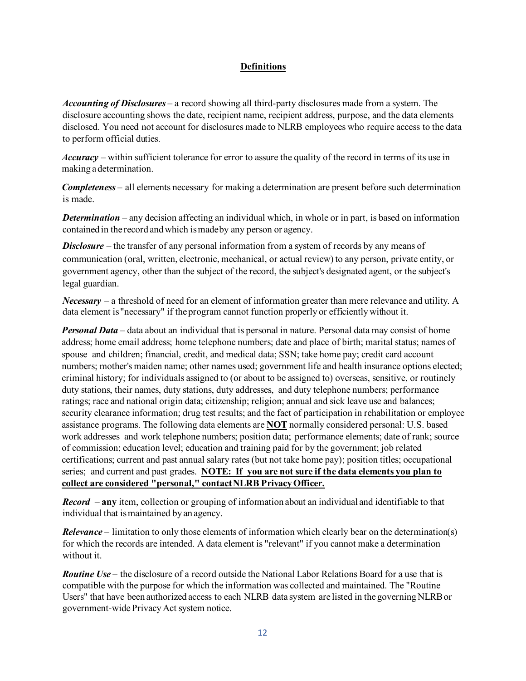#### **Definitions**

*Accounting of Disclosures –* a record showing all third-party disclosures made from a system. The disclosure accounting shows the date, recipient name, recipient address, purpose, and the data elements disclosed. You need not account for disclosures made to NLRB employees who require access to the data to perform official duties.

*Accuracy* – within sufficient tolerance for error to assure the quality of the record in terms of its use in making a determination.

*Completeness* – all elements necessary for making a determination are present before such determination is made.

*Determination* – any decision affecting an individual which, in whole or in part, is based on information contained in the record andwhich ismadeby any person or agency.

*Disclosure* – the transfer of any personal information from a system of records by any means of communication (oral, written, electronic, mechanical, or actual review) to any person, private entity, or government agency, other than the subject of the record, the subject's designated agent, or the subject's legal guardian.

*Necessary* – a threshold of need for an element of information greater than mere relevance and utility. A data element is "necessary" if the program cannot function properly or efficientlywithout it.

*Personal Data* – data about an individual that is personal in nature. Personal data may consist of home address; home email address; home telephone numbers; date and place of birth; marital status; names of spouse and children; financial, credit, and medical data; SSN; take home pay; credit card account numbers; mother's maiden name; other names used; government life and health insurance options elected; criminal history; for individuals assigned to (or about to be assigned to) overseas, sensitive, or routinely duty stations, their names, duty stations, duty addresses, and duty telephone numbers; performance ratings; race and national origin data; citizenship; religion; annual and sick leave use and balances; security clearance information; drug test results; and the fact of participation in rehabilitation or employee assistance programs. The following data elements are **NOT** normally considered personal: U.S. based work addresses and work telephone numbers; position data; performance elements; date of rank; source of commission; education level; education and training paid for by the government; job related certifications; current and past annual salary rates (but not take home pay); position titles; occupational series; and current and past grades. **NOTE: If you are not sure if the data elements you plan to collect are considered "personal," contactNLRB PrivacyOfficer.**

*Record* – **any** item, collection or grouping of information about an individual and identifiable to that individual that ismaintained by an agency.

*Relevance* – limitation to only those elements of information which clearly bear on the determination(s) for which the records are intended. A data element is "relevant" if you cannot make a determination without it.

*Routine Use* – the disclosure of a record outside the National Labor Relations Board for a use that is compatible with the purpose for which the information was collected and maintained. The "Routine Users" that have been authorized access to each NLRB data system are listed in the governingNLRBor government-widePrivacyAct system notice.